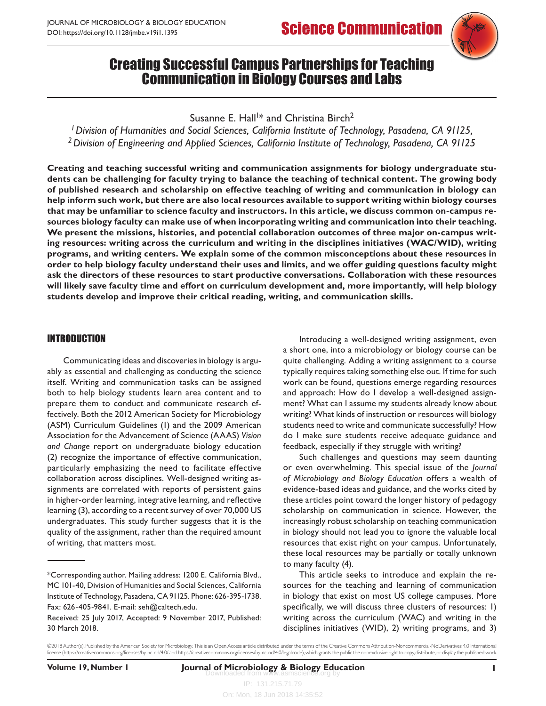# Creating Successful Campus Partnerships for Teaching Communication in Biology Courses and Labs

Susanne E. Hall $^{\dagger\ast}$  and Christina Birch $^2$ 

*1Division of Humanities and Social Sciences, California Institute of Technology, Pasadena, CA 91125, 2Division of Engineering and Applied Sciences, California Institute of Technology, Pasadena, CA 91125*

**Creating and teaching successful writing and communication assignments for biology undergraduate students can be challenging for faculty trying to balance the teaching of technical content. The growing body of published research and scholarship on effective teaching of writing and communication in biology can help inform such work, but there are also local resources available to support writing within biology courses that may be unfamiliar to science faculty and instructors. In this article, we discuss common on-campus resources biology faculty can make use of when incorporating writing and communication into their teaching. We present the missions, histories, and potential collaboration outcomes of three major on-campus writing resources: writing across the curriculum and writing in the disciplines initiatives (WAC/WID), writing programs, and writing centers. We explain some of the common misconceptions about these resources in order to help biology faculty understand their uses and limits, and we offer guiding questions faculty might ask the directors of these resources to start productive conversations. Collaboration with these resources will likely save faculty time and effort on curriculum development and, more importantly, will help biology students develop and improve their critical reading, writing, and communication skills.** 

#### INTRODUCTION

Communicating ideas and discoveries in biology is arguably as essential and challenging as conducting the science itself. Writing and communication tasks can be assigned both to help biology students learn area content and to prepare them to conduct and communicate research effectively. Both the 2012 American Society for Microbiology (ASM) Curriculum Guidelines (1) and the 2009 American Association for the Advancement of Science (AAAS) *Vision and Change* report on undergraduate biology education (2) recognize the importance of effective communication, particularly emphasizing the need to facilitate effective collaboration across disciplines. Well-designed writing assignments are correlated with reports of persistent gains in higher-order learning, integrative learning, and reflective learning (3), according to a recent survey of over 70,000 US undergraduates. This study further suggests that it is the quality of the assignment, rather than the required amount of writing, that matters most.

Introducing a well-designed writing assignment, even a short one, into a microbiology or biology course can be quite challenging. Adding a writing assignment to a course typically requires taking something else out*.* If time for such work can be found, questions emerge regarding resources and approach: How do I develop a well-designed assignment? What can I assume my students already know about writing? What kinds of instruction or resources will biology students need to write and communicate successfully? How do I make sure students receive adequate guidance and feedback, especially if they struggle with writing?

Such challenges and questions may seem daunting or even overwhelming. This special issue of the *Journal of Microbiology and Biology Education* offers a wealth of evidence-based ideas and guidance, and the works cited by these articles point toward the longer history of pedagogy scholarship on communication in science. However, the increasingly robust scholarship on teaching communication in biology should not lead you to ignore the valuable local resources that exist right on your campus. Unfortunately, these local resources may be partially or totally unknown to many faculty (4).

This article seeks to introduce and explain the resources for the teaching and learning of communication in biology that exist on most US college campuses. More specifically, we will discuss three clusters of resources: 1) writing across the curriculum (WAC) and writing in the disciplines initiatives (WID), 2) writing programs, and 3)

<sup>\*</sup>Corresponding author. Mailing address: 1200 E. California Blvd., MC 101-40, Division of Humanities and Social Sciences, California Institute of Technology, Pasadena, CA 91125. Phone: 626-395-1738. Fax: 626-405-9841. E-mail: seh@caltech.edu.

Received: 25 July 2017, Accepted: 9 November 2017, Published: 30 March 2018.

<sup>©2018</sup> Author(s). Published by the American Society for Microbiology. This is an Open Access article distributed under the terms of the Creative Commons Attribution-Noncommercial-NoDerivatives 4.0 International license (<https://creativecommons.org/licenses/by-nc-nd/4.0/>and [https://creativecommons.org/licenses/by-nc-nd/4.0/legalcode\)](https://creativecommons.org/licenses/by-nc-nd/4.0/legalcode), which grants the public the nonexclusive right to copy, distribute, or display the published work.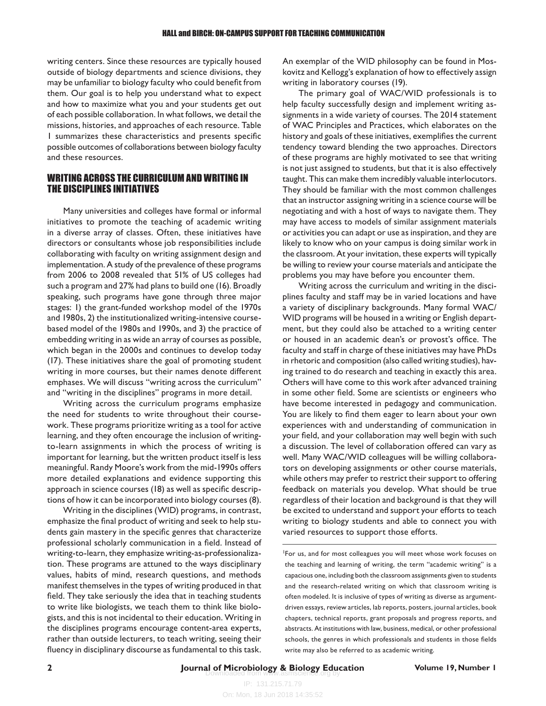writing centers. Since these resources are typically housed outside of biology departments and science divisions, they may be unfamiliar to biology faculty who could benefit from them. Our goal is to help you understand what to expect and how to maximize what you and your students get out of each possible collaboration. In what follows, we detail the missions, histories, and approaches of each resource. Table 1 summarizes these characteristics and presents specific possible outcomes of collaborations between biology faculty and these resources.

#### WRITING ACROSS THE CURRICULUM AND WRITING IN THE DISCIPLINES INITIATIVES

Many universities and colleges have formal or informal initiatives to promote the teaching of academic writing in a diverse array of classes. Often, these initiatives have directors or consultants whose job responsibilities include collaborating with faculty on writing assignment design and implementation. A study of the prevalence of these programs from 2006 to 2008 revealed that 51% of US colleges had such a program and 27% had plans to build one (16). Broadly speaking, such programs have gone through three major stages: 1) the grant-funded workshop model of the 1970s and 1980s, 2) the institutionalized writing-intensive coursebased model of the 1980s and 1990s, and 3) the practice of embedding writing in as wide an array of courses as possible, which began in the 2000s and continues to develop today (17). These initiatives share the goal of promoting student writing in more courses, but their names denote different emphases. We will discuss "writing across the curriculum" and "writing in the disciplines" programs in more detail.

Writing across the curriculum programs emphasize the need for students to write throughout their coursework. These programs prioritize writing as a tool for active learning, and they often encourage the inclusion of writingto-learn assignments in which the process of writing is important for learning, but the written product itself is less meaningful. Randy Moore's work from the mid-1990s offers more detailed explanations and evidence supporting this approach in science courses (18) as well as specific descriptions of how it can be incorporated into biology courses (8).

Writing in the disciplines (WID) programs, in contrast, emphasize the final product of writing and seek to help students gain mastery in the specific genres that characterize professional scholarly communication in a field. Instead of writing-to-learn, they emphasize writing-as-professionalization. These programs are attuned to the ways disciplinary values, habits of mind, research questions, and methods manifest themselves in the types of writing produced in that field. They take seriously the idea that in teaching students to write like biologists, we teach them to think like biologists, and this is not incidental to their education. Writing in the disciplines programs encourage content-area experts, rather than outside lecturers, to teach writing, seeing their fluency in disciplinary discourse as fundamental to this task. An exemplar of the WID philosophy can be found in Moskovitz and Kellogg's explanation of how to effectively assign writing in laboratory courses (19).

The primary goal of WAC/WID professionals is to help faculty successfully design and implement writing assignments in a wide variety of courses. The 2014 statement of WAC Principles and Practices, which elaborates on the history and goals of these initiatives, exemplifies the current tendency toward blending the two approaches. Directors of these programs are highly motivated to see that writing is not just assigned to students, but that it is also effectively taught. This can make them incredibly valuable interlocutors. They should be familiar with the most common challenges that an instructor assigning writing in a science course will be negotiating and with a host of ways to navigate them. They may have access to models of similar assignment materials or activities you can adapt or use as inspiration, and they are likely to know who on your campus is doing similar work in the classroom. At your invitation, these experts will typically be willing to review your course materials and anticipate the problems you may have before you encounter them.

Writing across the curriculum and writing in the disciplines faculty and staff may be in varied locations and have a variety of disciplinary backgrounds. Many formal WAC/ WID programs will be housed in a writing or English department, but they could also be attached to a writing center or housed in an academic dean's or provost's office. The faculty and staff in charge of these initiatives may have PhDs in rhetoric and composition (also called writing studies), having trained to do research and teaching in exactly this area. Others will have come to this work after advanced training in some other field. Some are scientists or engineers who have become interested in pedagogy and communication. You are likely to find them eager to learn about your own experiences with and understanding of communication in your field, and your collaboration may well begin with such a discussion. The level of collaboration offered can vary as well. Many WAC/WID colleagues will be willing collaborators on developing assignments or other course materials, while others may prefer to restrict their support to offering feedback on materials you develop. What should be true regardless of their location and background is that they will be excited to understand and support your efforts to teach writing to biology students and able to connect you with varied resources to support those efforts.

1For us, and for most colleagues you will meet whose work focuses on the teaching and learning of writing, the term "academic writing" is a capacious one, including both the classroom assignments given to students and the research-related writing on which that classroom writing is often modeled. It is inclusive of types of writing as diverse as argumentdriven essays, review articles, lab reports, posters, journal articles, book chapters, technical reports, grant proposals and progress reports, and abstracts. At institutions with law, business, medical, or other professional schools, the genres in which professionals and students in those fields write may also be referred to as academic writing.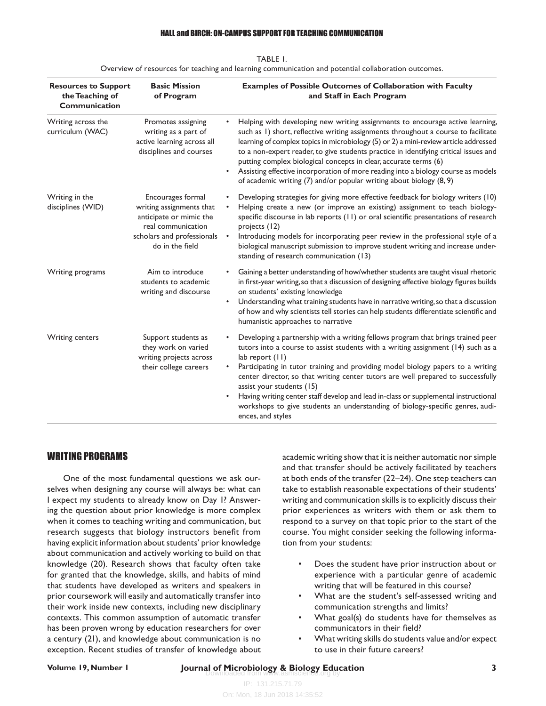#### HALL and BIRCH: ON-CAMPUS SUPPORT FOR TEACHING COMMUNICATION

| <b>Resources to Support</b><br>the Teaching of<br>Communication | <b>Basic Mission</b><br>of Program                                                                                                              | <b>Examples of Possible Outcomes of Collaboration with Faculty</b><br>and Staff in Each Program                                                                                                                                                                                                                                                                                                                                                                                                                                                                                            |
|-----------------------------------------------------------------|-------------------------------------------------------------------------------------------------------------------------------------------------|--------------------------------------------------------------------------------------------------------------------------------------------------------------------------------------------------------------------------------------------------------------------------------------------------------------------------------------------------------------------------------------------------------------------------------------------------------------------------------------------------------------------------------------------------------------------------------------------|
| Writing across the<br>curriculum (WAC)                          | Promotes assigning<br>writing as a part of<br>active learning across all<br>disciplines and courses                                             | Helping with developing new writing assignments to encourage active learning,<br>such as 1) short, reflective writing assignments throughout a course to facilitate<br>learning of complex topics in microbiology (5) or 2) a mini-review article addressed<br>to a non-expert reader, to give students practice in identifying critical issues and<br>putting complex biological concepts in clear, accurate terms (6)<br>Assisting effective incorporation of more reading into a biology course as models<br>of academic writing (7) and/or popular writing about biology (8, 9)        |
| Writing in the<br>disciplines (WID)                             | Encourages formal<br>writing assignments that<br>anticipate or mimic the<br>real communication<br>scholars and professionals<br>do in the field | Developing strategies for giving more effective feedback for biology writers (10)<br>Helping create a new (or improve an existing) assignment to teach biology-<br>specific discourse in lab reports (11) or oral scientific presentations of research<br>projects (12)<br>Introducing models for incorporating peer review in the professional style of a<br>$\bullet$<br>biological manuscript submission to improve student writing and increase under-<br>standing of research communication (13)                                                                                      |
| Writing programs                                                | Aim to introduce<br>students to academic<br>writing and discourse                                                                               | Gaining a better understanding of how/whether students are taught visual rhetoric<br>in first-year writing, so that a discussion of designing effective biology figures builds<br>on students' existing knowledge<br>Understanding what training students have in narrative writing, so that a discussion<br>of how and why scientists tell stories can help students differentiate scientific and<br>humanistic approaches to narrative                                                                                                                                                   |
| <b>Writing centers</b>                                          | Support students as<br>they work on varied<br>writing projects across<br>their college careers                                                  | Developing a partnership with a writing fellows program that brings trained peer<br>tutors into a course to assist students with a writing assignment (14) such as a<br>lab report $(11)$<br>Participating in tutor training and providing model biology papers to a writing<br>center director, so that writing center tutors are well prepared to successfully<br>assist your students (15)<br>Having writing center staff develop and lead in-class or supplemental instructional<br>workshops to give students an understanding of biology-specific genres, audi-<br>ences, and styles |

| TABLE I.                                                                                            |
|-----------------------------------------------------------------------------------------------------|
| Overview of resources for teaching and learning communication and potential collaboration outcomes. |

### WRITING PROGRAMS

One of the most fundamental questions we ask ourselves when designing any course will always be: what can I expect my students to already know on Day 1? Answering the question about prior knowledge is more complex when it comes to teaching writing and communication, but research suggests that biology instructors benefit from having explicit information about students' prior knowledge about communication and actively working to build on that knowledge (20). Research shows that faculty often take for granted that the knowledge, skills, and habits of mind that students have developed as writers and speakers in prior coursework will easily and automatically transfer into their work inside new contexts, including new disciplinary contexts. This common assumption of automatic transfer has been proven wrong by education researchers for over a century (21), and knowledge about communication is no exception. Recent studies of transfer of knowledge about academic writing show that it is neither automatic nor simple and that transfer should be actively facilitated by teachers at both ends of the transfer (22–24). One step teachers can take to establish reasonable expectations of their students' writing and communication skills is to explicitly discuss their prior experiences as writers with them or ask them to respond to a survey on that topic prior to the start of the course. You might consider seeking the following information from your students:

- Does the student have prior instruction about or experience with a particular genre of academic writing that will be featured in this course?
- What are the student's self-assessed writing and communication strengths and limits?
- What goal(s) do students have for themselves as communicators in their field?
- What writing skills do students value and/or expect to use in their future careers?

## **Volume 19, Number 1 19, Number 1 <b>3 Journal of Microbiology & Biology Education 19, Number 1 3 3**

IP: 131.215.71.79 On: Mon, 18 Jun 2018 14:35:52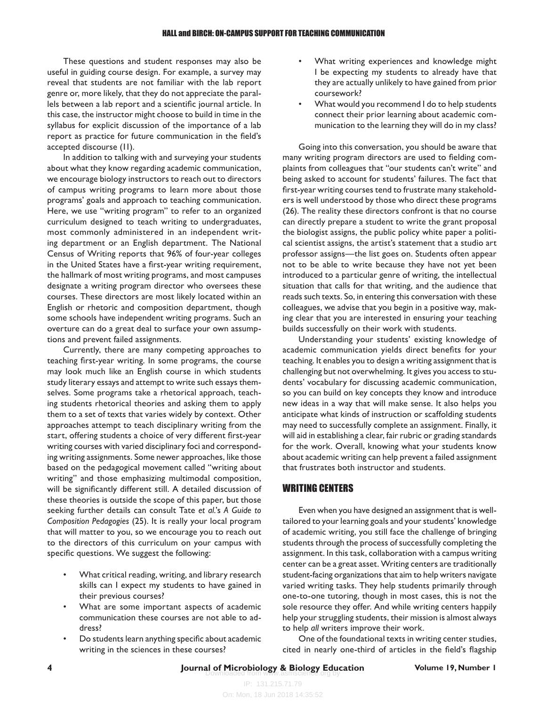These questions and student responses may also be useful in guiding course design. For example, a survey may reveal that students are not familiar with the lab report genre or, more likely, that they do not appreciate the parallels between a lab report and a scientific journal article. In this case, the instructor might choose to build in time in the syllabus for explicit discussion of the importance of a lab report as practice for future communication in the field's accepted discourse (11).

In addition to talking with and surveying your students about what they know regarding academic communication, we encourage biology instructors to reach out to directors of campus writing programs to learn more about those programs' goals and approach to teaching communication. Here, we use "writing program" to refer to an organized curriculum designed to teach writing to undergraduates, most commonly administered in an independent writing department or an English department. The National Census of Writing reports that 96% of four-year colleges in the United States have a first-year writing requirement, the hallmark of most writing programs, and most campuses designate a writing program director who oversees these courses. These directors are most likely located within an English or rhetoric and composition department, though some schools have independent writing programs. Such an overture can do a great deal to surface your own assumptions and prevent failed assignments.

Currently, there are many competing approaches to teaching first-year writing. In some programs, the course may look much like an English course in which students study literary essays and attempt to write such essays themselves. Some programs take a rhetorical approach, teaching students rhetorical theories and asking them to apply them to a set of texts that varies widely by context. Other approaches attempt to teach disciplinary writing from the start, offering students a choice of very different first-year writing courses with varied disciplinary foci and corresponding writing assignments. Some newer approaches, like those based on the pedagogical movement called "writing about writing" and those emphasizing multimodal composition, will be significantly different still. A detailed discussion of these theories is outside the scope of this paper, but those seeking further details can consult Tate *et al.*'s *A Guide to Composition Pedagogies* (25). It is really your local program that will matter to you, so we encourage you to reach out to the directors of this curriculum on your campus with specific questions. We suggest the following:

- What critical reading, writing, and library research skills can I expect my students to have gained in their previous courses?
- What are some important aspects of academic communication these courses are not able to address?
- Do students learn anything specific about academic writing in the sciences in these courses?
- What writing experiences and knowledge might I be expecting my students to already have that they are actually unlikely to have gained from prior coursework?
- What would you recommend I do to help students connect their prior learning about academic communication to the learning they will do in my class?

Going into this conversation, you should be aware that many writing program directors are used to fielding complaints from colleagues that "our students can't write" and being asked to account for students' failures. The fact that first-year writing courses tend to frustrate many stakeholders is well understood by those who direct these programs (26). The reality these directors confront is that no course can directly prepare a student to write the grant proposal the biologist assigns, the public policy white paper a political scientist assigns, the artist's statement that a studio art professor assigns—the list goes on. Students often appear not to be able to write because they have not yet been introduced to a particular genre of writing, the intellectual situation that calls for that writing, and the audience that reads such texts. So, in entering this conversation with these colleagues, we advise that you begin in a positive way, making clear that you are interested in ensuring your teaching builds successfully on their work with students.

Understanding your students' existing knowledge of academic communication yields direct benefits for your teaching. It enables you to design a writing assignment that is challenging but not overwhelming. It gives you access to students' vocabulary for discussing academic communication, so you can build on key concepts they know and introduce new ideas in a way that will make sense. It also helps you anticipate what kinds of instruction or scaffolding students may need to successfully complete an assignment. Finally, it will aid in establishing a clear, fair rubric or grading standards for the work. Overall, knowing what your students know about academic writing can help prevent a failed assignment that frustrates both instructor and students.

#### WRITING CENTERS

Even when you have designed an assignment that is welltailored to your learning goals and your students' knowledge of academic writing, you still face the challenge of bringing students through the process of successfully completing the assignment. In this task, collaboration with a campus writing center can be a great asset. Writing centers are traditionally student-facing organizations that aim to help writers navigate varied writing tasks. They help students primarily through one-to-one tutoring, though in most cases, this is not the sole resource they offer. And while writing centers happily help your struggling students, their mission is almost always to help *all* writers improve their work.

One of the foundational texts in writing center studies, cited in nearly one-third of articles in the field's flagship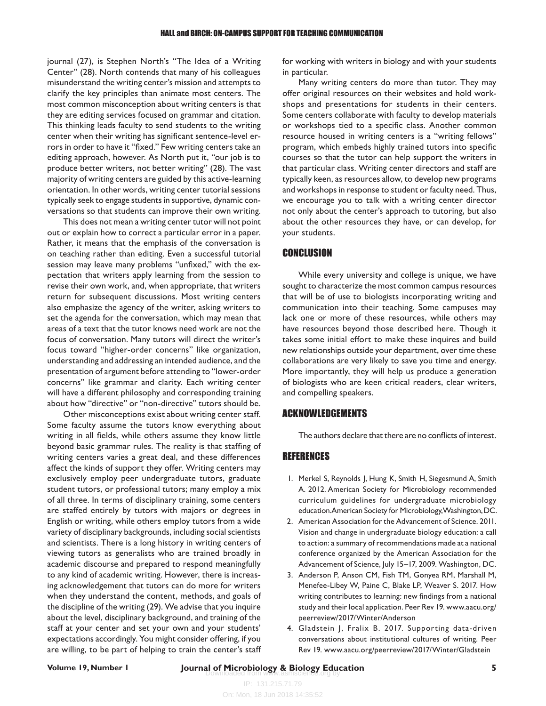journal (27), is Stephen North's "The Idea of a Writing Center" (28). North contends that many of his colleagues misunderstand the writing center's mission and attempts to clarify the key principles than animate most centers. The most common misconception about writing centers is that they are editing services focused on grammar and citation. This thinking leads faculty to send students to the writing center when their writing has significant sentence-level errors in order to have it "fixed." Few writing centers take an editing approach, however. As North put it, "our job is to produce better writers, not better writing" (28). The vast majority of writing centers are guided by this active-learning orientation. In other words, writing center tutorial sessions typically seek to engage students in supportive, dynamic conversations so that students can improve their own writing.

This does not mean a writing center tutor will not point out or explain how to correct a particular error in a paper. Rather, it means that the emphasis of the conversation is on teaching rather than editing. Even a successful tutorial session may leave many problems "unfixed," with the expectation that writers apply learning from the session to revise their own work, and, when appropriate, that writers return for subsequent discussions. Most writing centers also emphasize the agency of the writer, asking writers to set the agenda for the conversation, which may mean that areas of a text that the tutor knows need work are not the focus of conversation. Many tutors will direct the writer's focus toward "higher-order concerns" like organization, understanding and addressing an intended audience, and the presentation of argument before attending to "lower-order concerns" like grammar and clarity. Each writing center will have a different philosophy and corresponding training about how "directive" or "non-directive" tutors should be.

Other misconceptions exist about writing center staff. Some faculty assume the tutors know everything about writing in all fields, while others assume they know little beyond basic grammar rules. The reality is that staffing of writing centers varies a great deal, and these differences affect the kinds of support they offer. Writing centers may exclusively employ peer undergraduate tutors, graduate student tutors, or professional tutors; many employ a mix of all three. In terms of disciplinary training, some centers are staffed entirely by tutors with majors or degrees in English or writing, while others employ tutors from a wide variety of disciplinary backgrounds, including social scientists and scientists. There is a long history in writing centers of viewing tutors as generalists who are trained broadly in academic discourse and prepared to respond meaningfully to any kind of academic writing. However, there is increasing acknowledgement that tutors can do more for writers when they understand the content, methods, and goals of the discipline of the writing (29). We advise that you inquire about the level, disciplinary background, and training of the staff at your center and set your own and your students' expectations accordingly. You might consider offering, if you are willing, to be part of helping to train the center's staff for working with writers in biology and with your students in particular.

Many writing centers do more than tutor. They may offer original resources on their websites and hold workshops and presentations for students in their centers. Some centers collaborate with faculty to develop materials or workshops tied to a specific class. Another common resource housed in writing centers is a "writing fellows" program, which embeds highly trained tutors into specific courses so that the tutor can help support the writers in that particular class. Writing center directors and staff are typically keen, as resources allow, to develop new programs and workshops in response to student or faculty need. Thus, we encourage you to talk with a writing center director not only about the center's approach to tutoring, but also about the other resources they have, or can develop, for your students.

#### **CONCLUSION**

While every university and college is unique, we have sought to characterize the most common campus resources that will be of use to biologists incorporating writing and communication into their teaching. Some campuses may lack one or more of these resources, while others may have resources beyond those described here. Though it takes some initial effort to make these inquires and build new relationships outside your department, over time these collaborations are very likely to save you time and energy. More importantly, they will help us produce a generation of biologists who are keen critical readers, clear writers, and compelling speakers.

#### ACKNOWLEDGEMENTS

The authors declare that there are no conflicts of interest.

#### REFERENCES

- 1. Merkel S, Reynolds J, Hung K, Smith H, Siegesmund A, Smith A. 2012. American Society for Microbiology recommended curriculum guidelines for undergraduate microbiology education. American Society for Microbiology, Washington, DC.
- 2. American Association for the Advancement of Science. 2011. Vision and change in undergraduate biology education: a call to action: a summary of recommendations made at a national conference organized by the American Association for the Advancement of Science, July 15–17, 2009. Washington, DC.
- 3. Anderson P, Anson CM, Fish TM, Gonyea RM, Marshall M, Menefee-Libey W, Paine C, Blake LP, Weaver S. 2017. How writing contributes to learning: new findings from a national study and their local application. Peer Rev 19. www.aacu.org/ peerreview/2017/Winter/Anderson
- 4. Gladstein J, Fralix B. 2017. Supporting data-driven conversations about institutional cultures of writing. Peer Rev 19. www.aacu.org/peerreview/2017/Winter/Gladstein

### Downloaded from www.asmscience.org by **Journal of Microbiology & Biology Education Volume 19, Number 1 5**